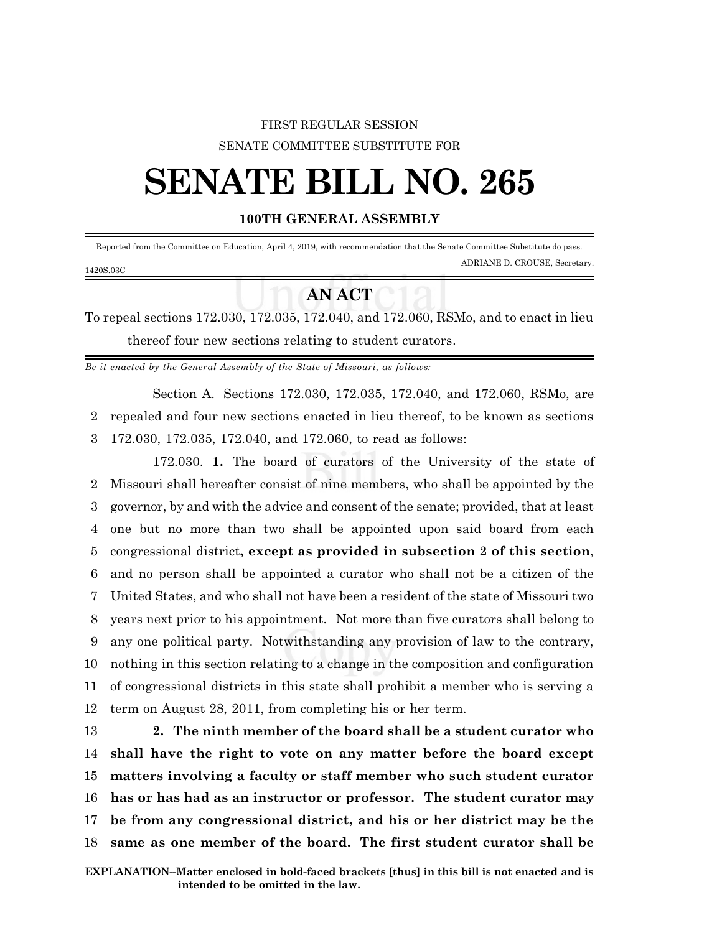## FIRST REGULAR SESSION SENATE COMMITTEE SUBSTITUTE FOR

## **SENATE BILL NO. 265**

## **100TH GENERAL ASSEMBLY**

 Reported from the Committee on Education, April 4, 2019, with recommendation that the Senate Committee Substitute do pass. ADRIANE D. CROUSE, Secretary. 1420S.03C

## **AN ACT**

To repeal sections 172.030, 172.035, 172.040, and 172.060, RSMo, and to enact in lieu thereof four new sections relating to student curators.

*Be it enacted by the General Assembly of the State of Missouri, as follows:*

Section A. Sections 172.030, 172.035, 172.040, and 172.060, RSMo, are 2 repealed and four new sections enacted in lieu thereof, to be known as sections 3 172.030, 172.035, 172.040, and 172.060, to read as follows:

172.030. **1.** The board of curators of the University of the state of Missouri shall hereafter consist of nine members, who shall be appointed by the governor, by and with the advice and consent of the senate; provided, that at least one but no more than two shall be appointed upon said board from each congressional district**, except as provided in subsection 2 of this section**, and no person shall be appointed a curator who shall not be a citizen of the United States, and who shall not have been a resident of the state of Missouri two years next prior to his appointment. Not more than five curators shall belong to any one political party. Notwithstanding any provision of law to the contrary, nothing in this section relating to a change in the composition and configuration of congressional districts in this state shall prohibit a member who is serving a term on August 28, 2011, from completing his or her term.

 **2. The ninth member of the board shall be a student curator who shall have the right to vote on any matter before the board except matters involving a faculty or staff member who such student curator has or has had as an instructor or professor. The student curator may be from any congressional district, and his or her district may be the same as one member of the board. The first student curator shall be**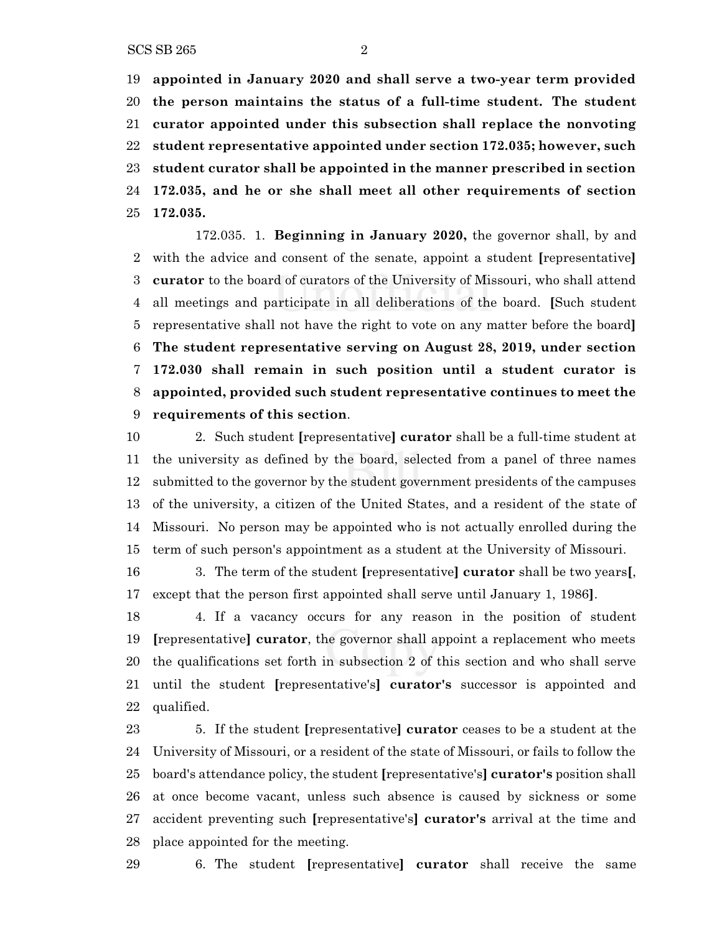**appointed in January 2020 and shall serve a two-year term provided the person maintains the status of a full-time student. The student curator appointed under this subsection shall replace the nonvoting student representative appointed under section 172.035; however, such student curator shall be appointed in the manner prescribed in section 172.035, and he or she shall meet all other requirements of section 172.035.**

172.035. 1. **Beginning in January 2020,** the governor shall, by and with the advice and consent of the senate, appoint a student **[**representative**] curator** to the board of curators of the University of Missouri, who shall attend all meetings and participate in all deliberations of the board. **[**Such student representative shall not have the right to vote on any matter before the board**] The student representative serving on August 28, 2019, under section 172.030 shall remain in such position until a student curator is appointed, provided such student representative continues to meet the requirements of this section**.

 2. Such student **[**representative**] curator** shall be a full-time student at the university as defined by the board, selected from a panel of three names submitted to the governor by the student government presidents of the campuses of the university, a citizen of the United States, and a resident of the state of Missouri. No person may be appointed who is not actually enrolled during the term of such person's appointment as a student at the University of Missouri.

 3. The term of the student **[**representative**] curator** shall be two years**[**, except that the person first appointed shall serve until January 1, 1986**]**.

 4. If a vacancy occurs for any reason in the position of student **[**representative**] curator**, the governor shall appoint a replacement who meets the qualifications set forth in subsection 2 of this section and who shall serve until the student **[**representative's**] curator's** successor is appointed and qualified.

 5. If the student **[**representative**] curator** ceases to be a student at the University of Missouri, or a resident of the state of Missouri, or fails to follow the board's attendance policy, the student **[**representative's**] curator's** position shall at once become vacant, unless such absence is caused by sickness or some accident preventing such **[**representative's**] curator's** arrival at the time and place appointed for the meeting.

6. The student **[**representative**] curator** shall receive the same